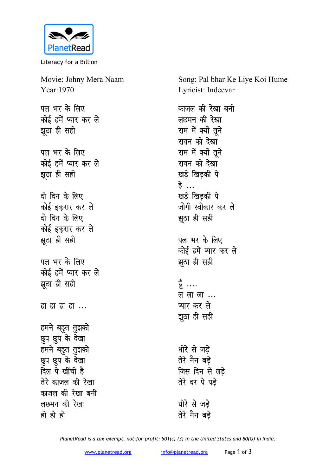

Literacy for a Billion

Movie: Johny Mera Naam Year:1970

पल भर के लिए कोई हमें प्यार कर ले **झूठा ही सही** 

पल भर के लिए कोई हमें प्यार कर ले **झूठा ही सही** 

<u>दो दिन के लिए</u> कोई **इकरार कर** ले <u>दो दिन के लिए</u> <u>कोई इकरार कर ले</u> **झूठा ही सही** 

पल भर के लिए कोई हमें प्यार कर ले **झूठा ही सही** 

हा हा हा ...

हमने बहुत तुझको <u>छु</u>प छुप के देखा हमने बहुत तुझको **छुप छुप के देखा** दिल पे खींची है तेरे काजल की रेखा काजल की रेखा बनी लछमन की रेखा **हो** हो हो

Song: Pal bhar Ke Liye Koi Hume Lyricist: Indeevar काजल की रेखा बनी लछमन की रेखा राम में क्यों तूने रावन को देखा राम में क्यों तूने रावन को देखा **खड़े खिड़की पे** हे … **खड़े खिड़की पे** जोगी स्वीकार कर ल<mark>े</mark> **झूठा ही सही** पल भर के लिए कोई हमें प्यार कर ले **झुठा ही सही** हें ....

ल ला ला ... **प्यार कर ले** झूठा ही सही

धीरे से जडे तेरे नैन बड़े **जिस दिन से लड़े तेरे** दर पे पड़े

धीरे से जडे तेरे नैन बड़े

*PlanetRead is a tax-exempt, not-for-profit: 501(c) (3) in the United States and 80(G) in India.*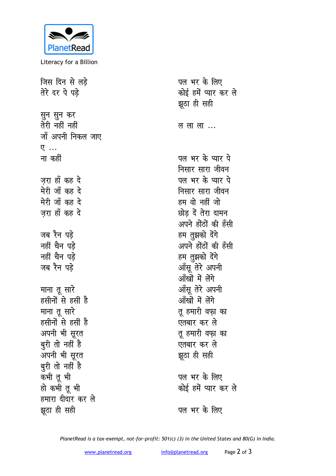

Literacy for a Billion

| जिस दिन से लड़े   | पल भर के लिए         |
|-------------------|----------------------|
| तेरे दर पे पड़े   | कोई हमें प्यार कर ले |
|                   | झूठा ही सही          |
| सुन सुन कर        |                      |
| तेरी नहीं नहीं    | ल ला ला $\dots$      |
| जॉ अपनी निकल जाए  |                      |
| ए                 |                      |
| ना कहीं           | पल भर के प्यार पे    |
|                   | निसार सारा जीवन      |
| ज़रा हाँ कह दे    | पल भर के प्यार पे    |
| मेरी जाँ कह दे    | निसार सारा जीवन      |
| मेरी जाँ कह दे    | हम वो नहीं जो        |
| जरा हाँ कह दे     | छोड़ दें तेरा दामन   |
|                   | अपने होंठों की हँसी  |
| जब रैन पड़े       | हम तुझको देंगे       |
| नहीं चैन पड़े     | अपने होंठों की हँसी  |
| नहीं चैन पड़े     | हम तुझको देंगे       |
| जब रैन पड़े       | ऑसू तेरे अपनी        |
|                   | आँखों में लेंगे      |
| माना तू सारे      | ऑसू तेरे अपनी        |
| हसीनों से हसीं है | आँखों में लेंगे      |
| माना तू सारे      | तू हमारी वफ़ा का     |
| हसीनों से हसीं है | एतबार कर ले          |
| अपनी भी सूरत      | तू हमारी वफ़ा का     |
| बुरी तो नहीं है   | एतबार कर ले          |
| अपनी भी सूरत      | झूठा ही सही          |
| बुरी तो नहीं है   |                      |
|                   | पल भर के लिए         |
| कभी तू भी         |                      |
| हो कभी तू भी      | कोई हमें प्यार कर ले |
| हमारा दीदार कर ले |                      |
| झूठा ही सही       | पल भर के लिए         |

PlanetRead is a tax-exempt, not-for-profit: 501(c) (3) in the United States and 80(G) in India.